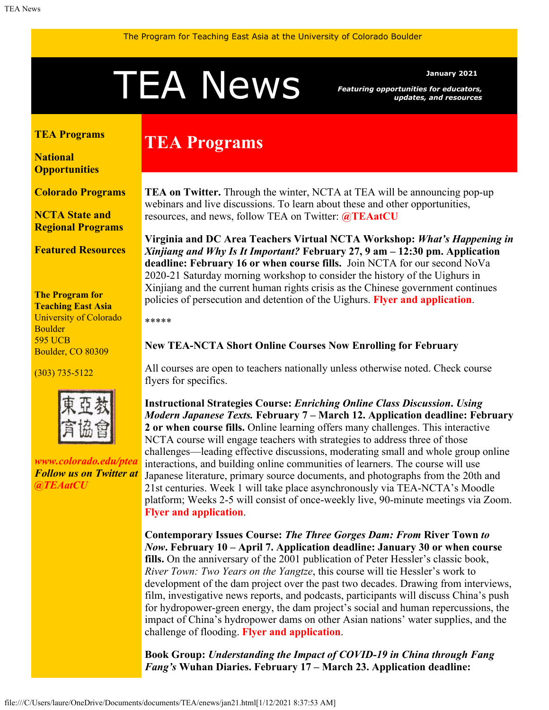# <span id="page-0-1"></span>TEA NewS<br>Featuring opportunities for educators<br>updates, and resource

*Featuring opportunities for educators, updates, and resources*

#### <span id="page-0-0"></span>**[TEA Programs](#page-0-0)**

**[National](#page-0-1) [Opportunities](#page-0-1)**

**[Colorado Programs](#page-2-0)**

**[NCTA State and](#page-2-1) [Regional Programs](#page-2-1)**

**[Featured Resources](#page-2-2)**

**The Program for Teaching East Asia** University of Colorado Boulder 595 UCB Boulder, CO 80309

(303) 735-5122



*[www.colorado.edu/ptea](http://www.colorado.edu/cas/tea) Follow us on Twitter at [@TEAatCU](https://twitter.com/TEAatCU)*

# **TEA Programs**

**TEA on Twitter.** Through the winter, NCTA at TEA will be announcing pop-up webinars and live discussions. To learn about these and other opportunities, resources, and news, follow TEA on Twitter: **[@TEAatCU](https://twitter.com/TEAatCU)**

**Virginia and DC Area Teachers Virtual NCTA Workshop:** *What's Happening in Xinjiang and Why Is It Important?* **February 27, 9 am – 12:30 pm. Application deadline: February 16 or when course fills.** Join NCTA for our second NoVa 2020-21 Saturday morning workshop to consider the history of the Uighurs in Xinjiang and the current human rights crisis as the Chinese government continues policies of persecution and detention of the Uighurs. **[Flyer and application](https://www.colorado.edu/ptea/sites/default/files/attached-files/novafeb2021flyer_0.pdf)**.

\*\*\*\*\*

**New TEA-NCTA Short Online Courses Now Enrolling for February** 

All courses are open to teachers nationally unless otherwise noted. Check course flyers for specifics.

**Instructional Strategies Course:** *Enriching Online Class Discussion***.** *Using Modern Japanese Texts.* **February 7 – March 12. Application deadline: February 2 or when course fills.** Online learning offers many challenges. This interactive NCTA course will engage teachers with strategies to address three of those challenges—leading effective discussions, moderating small and whole group online interactions, and building online communities of learners. The course will use Japanese literature, primary source documents, and photographs from the 20th and 21st centuries. Week 1 will take place asynchronously via TEA-NCTA's Moodle platform; Weeks 2-5 will consist of once-weekly live, 90-minute meetings via Zoom. **[Flyer and application](https://www.colorado.edu/ptea/sites/default/files/attached-files/zola2021flyer.pdf)**.

**Contemporary Issues Course:** *The Three Gorges Dam: From* **River Town** *to Now***. February 10 – April 7. Application deadline: January 30 or when course fills.** On the anniversary of the 2001 publication of Peter Hessler's classic book, *River Town: Two Years on the Yangtze*, this course will tie Hessler's work to development of the dam project over the past two decades. Drawing from interviews, film, investigative news reports, and podcasts, participants will discuss China's push for hydropower-green energy, the dam project's social and human repercussions, the impact of China's hydropower dams on other Asian nations' water supplies, and the challenge of flooding. **[Flyer and application](https://www.colorado.edu/ptea/sites/default/files/attached-files/3gorgesflyer.pdf)**.

**Book Group:** *Understanding the Impact of COVID-19 in China through Fang Fang's* **Wuhan Diaries. February 17 – March 23. Application deadline:**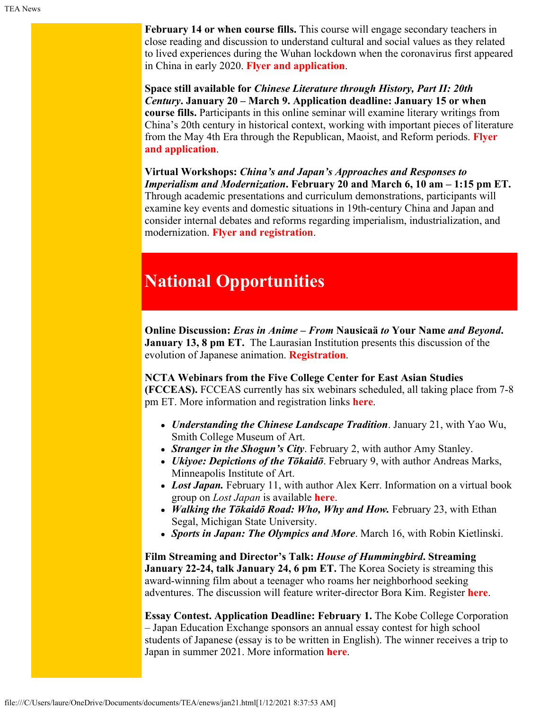**February 14 or when course fills.** This course will engage secondary teachers in close reading and discussion to understand cultural and social values as they related to lived experiences during the Wuhan lockdown when the coronavirus first appeared in China in early 2020. **[Flyer and application](https://www.colorado.edu/ptea/sites/default/files/attached-files/wuhandiariesnational_courseflyer_0.pdf)**.

**Space still available for** *Chinese Literature through History, Part II: 20th Century***. January 20 – March 9. Application deadline: January 15 or when course fills.** Participants in this online seminar will examine literary writings from China's 20th century in historical context, working with important pieces of literature from the May 4th Era through the Republican, Maoist, and Reform periods. **[Flyer](https://www.colorado.edu/ptea/sites/default/files/attached-files/lit_hist_2_courseflyer_.pdf) [and application](https://www.colorado.edu/ptea/sites/default/files/attached-files/lit_hist_2_courseflyer_.pdf)**.

**Virtual Workshops:** *China's and Japan's Approaches and Responses to Imperialism and Modernization***. February 20 and March 6, 10 am – 1:15 pm ET.** Through academic presentations and curriculum demonstrations, participants will examine key events and domestic situations in 19th-century China and Japan and consider internal debates and reforms regarding imperialism, industrialization, and modernization. **[Flyer and registration](https://www.colorado.edu/ptea/node/843/attachment)**.

# **National Opportunities**

**Online Discussion:** *Eras in Anime – From* **Nausicaä** *to* **Your Name** *and Beyond***. January 13, 8 pm ET.** The Laurasian Institution presents this discussion of the evolution of Japanese animation. **[Registration](https://zoom.us/meeting/register/tJYpcO-trDoiGdMnKQFou0qKdBbRtNz0hSZS)**.

**NCTA Webinars from the Five College Center for East Asian Studies (FCCEAS).** FCCEAS currently has six webinars scheduled, all taking place from 7-8 pm ET. More information and registration links **[here](https://www.fivecolleges.edu/fcceas/webinar)**.

- *Understanding the Chinese Landscape Tradition*. January 21, with Yao Wu, Smith College Museum of Art.
- *Stranger in the Shogun's City*. February 2, with author Amy Stanley.
- *Ukiyoe: Depictions of the Tōkaidō*. February 9, with author Andreas Marks, Minneapolis Institute of Art.
- *Lost Japan.* February 11, with author Alex Kerr. Information on a virtual book group on *Lost Japan* is available **[here](https://www.fivecolleges.edu/fcceas/ncta/lost-japan-book-group)**.
- *Walking the Tōkaidō Road: Who, Why and How.* February 23, with Ethan Segal, Michigan State University.
- *Sports in Japan: The Olympics and More*. March 16, with Robin Kietlinski.

**Film Streaming and Director's Talk:** *House of Hummingbird***. Streaming January 22-24, talk January 24, 6 pm ET.** The Korea Society is streaming this award-winning film about a teenager who roams her neighborhood seeking adventures. The discussion will feature writer-director Bora Kim. Register **[here](https://docs.google.com/forms/d/e/1FAIpQLSfQeof2BumZR51bbdX4k3_cjULpb37Cyfkrh5YCd4j4qzTIBg/viewform)**.

**Essay Contest. Application Deadline: February 1. The Kobe College Corporation** – Japan Education Exchange sponsors an annual essay contest for high school students of Japanese (essay is to be written in English). The winner receives a trip to Japan in summer 2021. More information **[here](https://www.kccjee.org/high-school-essay-contest)**.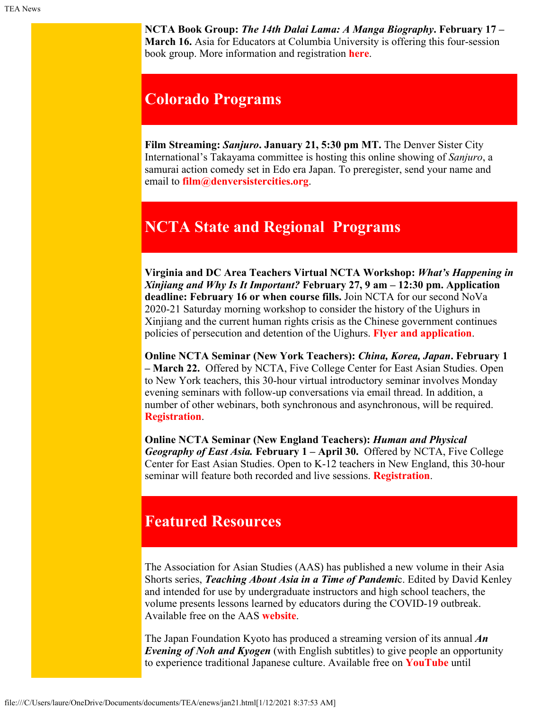**NCTA Book Group:** *The 14th Dalai Lama: A Manga Biography***. February 17 – March 16.** Asia for Educators at Columbia University is offering this four-session book group. More information and registration **[here](http://afe.easia.columbia.edu/online_course/)**.

### <span id="page-2-0"></span>**Colorado Programs**

**Film Streaming:** *Sanjuro***. January 21, 5:30 pm MT.** The Denver Sister City International's Takayama committee is hosting this online showing of *Sanjuro*, a samurai action comedy set in Edo era Japan. To preregister, send your name and email to **[film@denversistercities.org](file:///C/Users/laure/OneDrive/Documents/documents/TEA/enews/film@denversistercities.org)**.

## <span id="page-2-1"></span>**NCTA State and Regional Programs**

**Virginia and DC Area Teachers Virtual NCTA Workshop:** *What's Happening in Xinjiang and Why Is It Important?* **February 27, 9 am – 12:30 pm. Application deadline: February 16 or when course fills.** Join NCTA for our second NoVa 2020-21 Saturday morning workshop to consider the history of the Uighurs in Xinjiang and the current human rights crisis as the Chinese government continues policies of persecution and detention of the Uighurs. **[Flyer and application](https://www.colorado.edu/ptea/sites/default/files/attached-files/novafeb2021flyer_0.pdf)**.

**Online NCTA Seminar (New York Teachers):** *China, Korea, Japan***. February 1 – March 22.** Offered by NCTA, Five College Center for East Asian Studies. Open to New York teachers, this 30-hour virtual introductory seminar involves Monday evening seminars with follow-up conversations via email thread. In addition, a number of other webinars, both synchronous and asynchronous, will be required. **[Registration](https://www.fivecolleges.edu/fcceas/ncta/ncta_new_york/2021-ny-virtual-seminar)**.

**Online NCTA Seminar (New England Teachers):** *Human and Physical Geography of East Asia.* **February 1 – April 30.** Offered by NCTA, Five College Center for East Asian Studies. Open to K-12 teachers in New England, this 30-hour seminar will feature both recorded and live sessions. **[Registration](https://www.fivecolleges.edu/fcceas/ncta/NE-spring-2021)**.

#### <span id="page-2-2"></span>**Featured Resources**

The Association for Asian Studies (AAS) has published a new volume in their Asia Shorts series, *Teaching About Asia in a Time of Pandemi*c. Edited by David Kenley and intended for use by undergraduate instructors and high school teachers, the volume presents lessons learned by educators during the COVID-19 outbreak. Available free on the AAS **[website](https://www.asianstudies.org/publications/teaching-about-asia-in-a-time-of-pandemic/)**.

The Japan Foundation Kyoto has produced a streaming version of its annual *An Evening of Noh and Kyogen* (with English subtitles) to give people an opportunity to experience traditional Japanese culture. Available free on **[YouTube](https://www.youtube.com/watch?v=tDgHuLcPoo4)** until